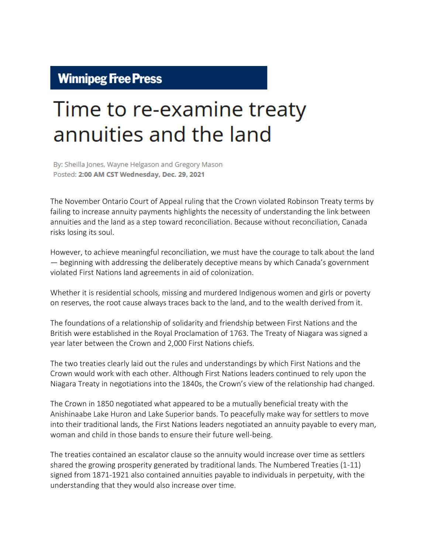## **Winnipeg Free Press**

## Time to re-examine treaty annuities and the land

By: Sheilla Jones, Wayne Helgason and Gregory Mason Posted: 2:00 AM CST Wednesday, Dec. 29, 2021

The November Ontario Court of Appeal ruling that the Crown violated Robinson Treaty terms by failing to increase annuity payments highlights the necessity of understanding the link between annuities and the land as a step toward reconciliation. Because without reconciliation, Canada risks losing its soul.

However, to achieve meaningful reconciliation, we must have the courage to talk about the land — beginning with addressing the deliberately deceptive means by which Canada's government violated First Nations land agreements in aid of colonization.

Whether it is residential schools, missing and murdered Indigenous women and girls or poverty on reserves, the root cause always traces back to the land, and to the wealth derived from it.

The foundations of a relationship of solidarity and friendship between First Nations and the British were established in the Royal Proclamation of 1763. The Treaty of Niagara was signed a year later between the Crown and 2,000 First Nations chiefs.

The two treaties clearly laid out the rules and understandings by which First Nations and the Crown would work with each other. Although First Nations leaders continued to rely upon the Niagara Treaty in negotiations into the 1840s, the Crown's view of the relationship had changed.

The Crown in 1850 negotiated what appeared to be a mutually beneficial treaty with the Anishinaabe Lake Huron and Lake Superior bands. To peacefully make way for settlers to move into their traditional lands, the First Nations leaders negotiated an annuity payable to every man, woman and child in those bands to ensure their future well-being.

The treaties contained an escalator clause so the annuity would increase over time as settlers shared the growing prosperity generated by traditional lands. The Numbered Treaties (1-11) signed from 1871-1921 also contained annuities payable to individuals in perpetuity, with the understanding that they would also increase over time.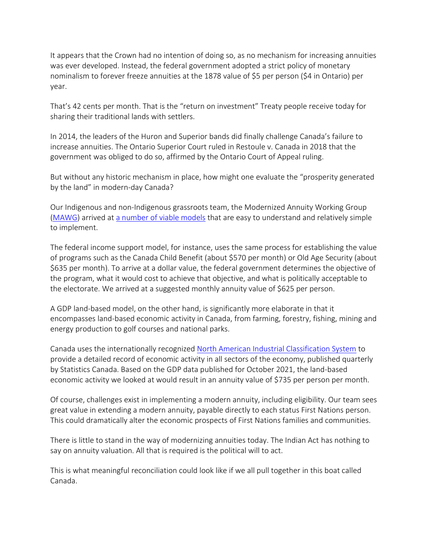It appears that the Crown had no intention of doing so, as no mechanism for increasing annuities was ever developed. Instead, the federal government adopted a strict policy of monetary nominalism to forever freeze annuities at the 1878 value of \$5 per person (\$4 in Ontario) per year.

That's 42 cents per month. That is the "return on investment" Treaty people receive today for sharing their traditional lands with settlers.

In 2014, the leaders of the Huron and Superior bands did finally challenge Canada's failure to increase annuities. The Ontario Superior Court ruled in Restoule v. Canada in 2018 that the government was obliged to do so, affirmed by the Ontario Court of Appeal ruling.

But without any historic mechanism in place, how might one evaluate the "prosperity generated by the land" in modern-day Canada?

Our Indigenous and non-Indigenous grassroots team, the Modernized Annuity Working Group [\(MAWG\)](https://www.mawg.ca/) arrived at [a number of viable models](https://www.mawg.ca/jaed-modern-annuity-paper) that are easy to understand and relatively simple to implement.

The federal income support model, for instance, uses the same process for establishing the value of programs such as the Canada Child Benefit (about \$570 per month) or Old Age Security (about \$635 per month). To arrive at a dollar value, the federal government determines the objective of the program, what it would cost to achieve that objective, and what is politically acceptable to the electorate. We arrived at a suggested monthly annuity value of \$625 per person.

A GDP land-based model, on the other hand, is significantly more elaborate in that it encompasses land-based economic activity in Canada, from farming, forestry, fishing, mining and energy production to golf courses and national parks.

Canada uses the internationally recognized [North American Industrial Classification System](https://www.census.gov/naics/) to provide a detailed record of economic activity in all sectors of the economy, published quarterly by Statistics Canada. Based on the GDP data published for October 2021, the land-based economic activity we looked at would result in an annuity value of \$735 per person per month.

Of course, challenges exist in implementing a modern annuity, including eligibility. Our team sees great value in extending a modern annuity, payable directly to each status First Nations person. This could dramatically alter the economic prospects of First Nations families and communities.

There is little to stand in the way of modernizing annuities today. The Indian Act has nothing to say on annuity valuation. All that is required is the political will to act.

This is what meaningful reconciliation could look like if we all pull together in this boat called Canada.